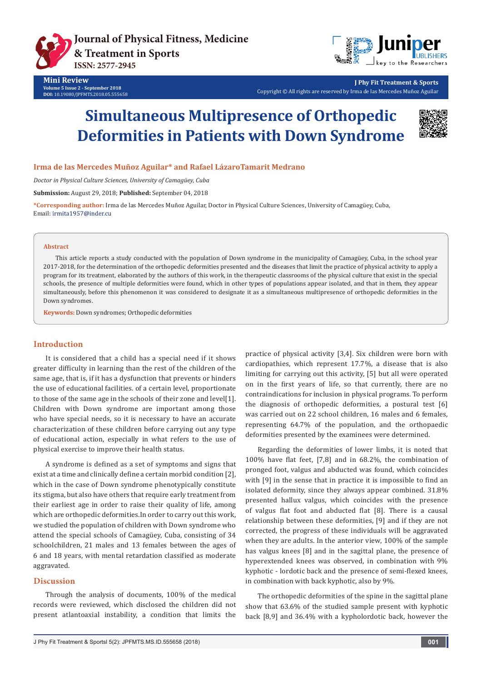



**J Phy Fit Treatment & Sports** Copyright © All rights are reserved by Irma de las Mercedes Muñoz Aguilar

# **Simultaneous Multipresence of Orthopedic Deformities in Patients with Down Syndrome**



## **Irma de las Mercedes Muñoz Aguilar\* and Rafael LázaroTamarit Medrano**

*Doctor in Physical Culture Sciences, University of Camagüey, Cuba*

**Submission:** August 29, 2018; **Published:** September 04, 2018

**\*Corresponding author:** Irma de las Mercedes Muñoz Aguilar, Doctor in Physical Culture Sciences, University of Camagüey, Cuba, Email: irmita1957@inder.cu

#### **Abstract**

This article reports a study conducted with the population of Down syndrome in the municipality of Camagüey, Cuba, in the school year 2017-2018, for the determination of the orthopedic deformities presented and the diseases that limit the practice of physical activity to apply a program for its treatment, elaborated by the authors of this work, in the therapeutic classrooms of the physical culture that exist in the special schools, the presence of multiple deformities were found, which in other types of populations appear isolated, and that in them, they appear simultaneously, before this phenomenon it was considered to designate it as a simultaneous multipresence of orthopedic deformities in the Down syndromes.

**Keywords:** Down syndromes; Orthopedic deformities

#### **Introduction**

It is considered that a child has a special need if it shows greater difficulty in learning than the rest of the children of the same age, that is, if it has a dysfunction that prevents or hinders the use of educational facilities. of a certain level, proportionate to those of the same age in the schools of their zone and level[1]. Children with Down syndrome are important among those who have special needs, so it is necessary to have an accurate characterization of these children before carrying out any type of educational action, especially in what refers to the use of physical exercise to improve their health status.

A syndrome is defined as a set of symptoms and signs that exist at a time and clinically define a certain morbid condition [2], which in the case of Down syndrome phenotypically constitute its stigma, but also have others that require early treatment from their earliest age in order to raise their quality of life, among which are orthopedic deformities.In order to carry out this work, we studied the population of children with Down syndrome who attend the special schools of Camagüey, Cuba, consisting of 34 schoolchildren, 21 males and 13 females between the ages of 6 and 18 years, with mental retardation classified as moderate aggravated.

#### **Discussion**

Through the analysis of documents, 100% of the medical records were reviewed, which disclosed the children did not present atlantoaxial instability, a condition that limits the

practice of physical activity [3,4]. Six children were born with cardiopathies, which represent 17.7%, a disease that is also limiting for carrying out this activity, [5] but all were operated on in the first years of life, so that currently, there are no contraindications for inclusion in physical programs. To perform the diagnosis of orthopedic deformities, a postural test [6] was carried out on 22 school children, 16 males and 6 females, representing 64.7% of the population, and the orthopaedic deformities presented by the examinees were determined.

Regarding the deformities of lower limbs, it is noted that 100% have flat feet, [7,8] and in 68.2%, the combination of pronged foot, valgus and abducted was found, which coincides with [9] in the sense that in practice it is impossible to find an isolated deformity, since they always appear combined. 31.8% presented hallux valgus, which coincides with the presence of valgus flat foot and abducted flat [8]. There is a causal relationship between these deformities, [9] and if they are not corrected, the progress of these individuals will be aggravated when they are adults. In the anterior view, 100% of the sample has valgus knees [8] and in the sagittal plane, the presence of hyperextended knees was observed, in combination with 9% kyphotic - lordotic back and the presence of semi-flexed knees, in combination with back kyphotic, also by 9%.

The orthopedic deformities of the spine in the sagittal plane show that 63.6% of the studied sample present with kyphotic back [8,9] and 36.4% with a kypholordotic back, however the